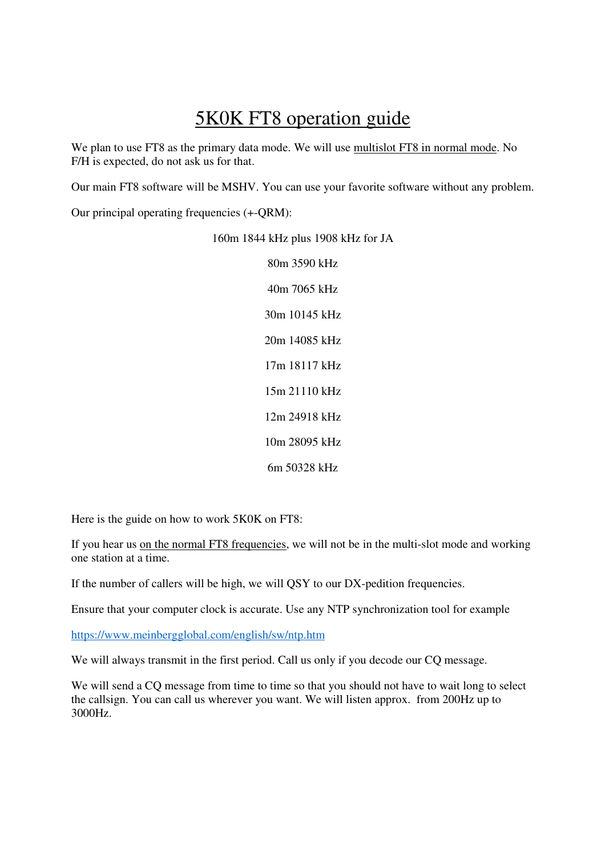## 5K0K FT8 operation guide

We plan to use FT8 as the primary data mode. We will use multislot FT8 in normal mode. No F/H is expected, do not ask us for that.

Our main FT8 software will be MSHV. You can use your favorite software without any problem.

Our principal operating frequencies (+-QRM):

160m 1844 kHz plus 1908 kHz for JA

80m 3590 kHz 40m 7065 kHz 30m 10145 kHz 20m 14085 kHz 17m 18117 kHz 15m 21110 kHz 12m 24918 kHz 10m 28095 kHz 6m 50328 kHz

Here is the guide on how to work 5K0K on FT8:

If you hear us on the normal FT8 frequencies, we will not be in the multi-slot mode and working one station at a time.

If the number of callers will be high, we will QSY to our DX-pedition frequencies.

Ensure that your computer clock is accurate. Use any NTP synchronization tool for example

https://www.meinbergglobal.com/english/sw/ntp.htm

We will always transmit in the first period. Call us only if you decode our CQ message.

We will send a CQ message from time to time so that you should not have to wait long to select the callsign. You can call us wherever you want. We will listen approx. from 200Hz up to 3000Hz.